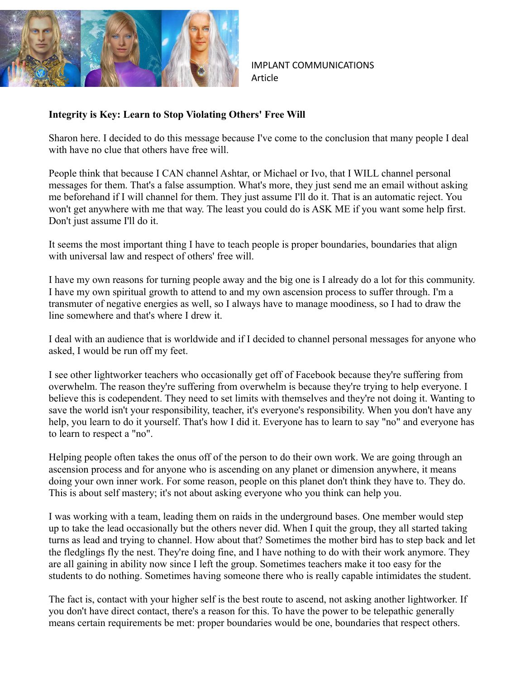

IMPLANT COMMUNICATIONS Article

## **Integrity is Key: Learn to Stop Violating Others' Free Will**

Sharon here. I decided to do this message because I've come to the conclusion that many people I deal with have no clue that others have free will.

People think that because I CAN channel Ashtar, or Michael or Ivo, that I WILL channel personal messages for them. That's a false assumption. What's more, they just send me an email without asking me beforehand if I will channel for them. They just assume I'll do it. That is an automatic reject. You won't get anywhere with me that way. The least you could do is ASK ME if you want some help first. Don't just assume I'll do it.

It seems the most important thing I have to teach people is proper boundaries, boundaries that align with universal law and respect of others' free will.

I have my own reasons for turning people away and the big one is I already do a lot for this community. I have my own spiritual growth to attend to and my own ascension process to suffer through. I'm a transmuter of negative energies as well, so I always have to manage moodiness, so I had to draw the line somewhere and that's where I drew it.

I deal with an audience that is worldwide and if I decided to channel personal messages for anyone who asked, I would be run off my feet.

I see other lightworker teachers who occasionally get off of Facebook because they're suffering from overwhelm. The reason they're suffering from overwhelm is because they're trying to help everyone. I believe this is codependent. They need to set limits with themselves and they're not doing it. Wanting to save the world isn't your responsibility, teacher, it's everyone's responsibility. When you don't have any help, you learn to do it yourself. That's how I did it. Everyone has to learn to say "no" and everyone has to learn to respect a "no".

Helping people often takes the onus off of the person to do their own work. We are going through an ascension process and for anyone who is ascending on any planet or dimension anywhere, it means doing your own inner work. For some reason, people on this planet don't think they have to. They do. This is about self mastery; it's not about asking everyone who you think can help you.

I was working with a team, leading them on raids in the underground bases. One member would step up to take the lead occasionally but the others never did. When I quit the group, they all started taking turns as lead and trying to channel. How about that? Sometimes the mother bird has to step back and let the fledglings fly the nest. They're doing fine, and I have nothing to do with their work anymore. They are all gaining in ability now since I left the group. Sometimes teachers make it too easy for the students to do nothing. Sometimes having someone there who is really capable intimidates the student.

The fact is, contact with your higher self is the best route to ascend, not asking another lightworker. If you don't have direct contact, there's a reason for this. To have the power to be telepathic generally means certain requirements be met: proper boundaries would be one, boundaries that respect others.